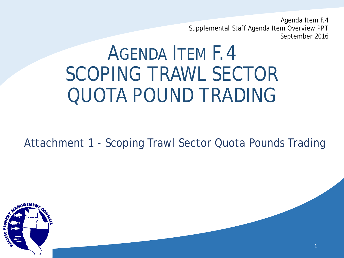Agenda Item F.4 Supplemental Staff Agenda Item Overview PPT September 2016

1

# AGENDA ITEM F.4 SCOPING TRAWL SECTOR QUOTA POUND TRADING

Attachment 1 - Scoping Trawl Sector Quota Pounds Trading

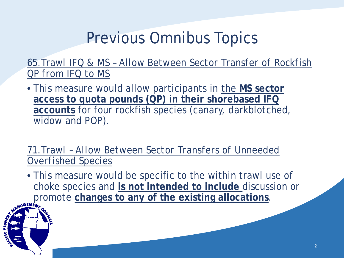### Previous Omnibus Topics

*65.Trawl IFQ & MS – Allow Between Sector Transfer of Rockfish QP from IFQ to MS*

• This measure would allow participants in the MS sector **access to quota pounds (QP) in their shorebased IFQ accounts** for four rockfish species (canary, darkblotched, widow and POP).

*71.Trawl – Allow Between Sector Transfers of Unneeded Overfished Species*

• This measure would be specific to the within trawl use of choke species and **is not intended to include** discussion or promote changes to any of the existing allocations.

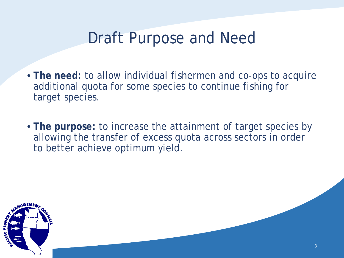#### Draft Purpose and Need

- **The need:** to allow individual fishermen and co-ops to acquire additional quota for some species to continue fishing for target species.
- **The purpose:** to increase the attainment of target species by allowing the transfer of excess quota across sectors in order to better achieve optimum yield.

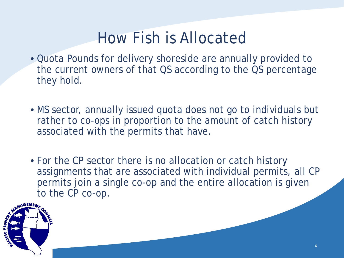#### How Fish is Allocated

- Quota Pounds for delivery shoreside are annually provided to the current owners of that QS according to the QS percentage they hold.
- MS sector, annually issued quota does not go to individuals but rather to co-ops in proportion to the amount of catch history associated with the permits that have.
- For the CP sector there is no allocation or catch history assignments that are associated with individual permits, all CP permits join a single co-op and the entire allocation is given to the CP co-op.

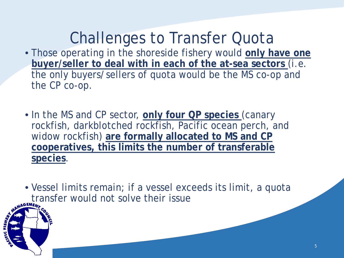# Challenges to Transfer Quota

- Those operating in the shoreside fishery would **only have one buyer/seller to deal with in each of the at-sea sectors** (i.e. the only buyers/sellers of quota would be the MS co-op and the CP co-op.
- In the MS and CP sector, **only four QP species** (canary rockfish, darkblotched rockfish, Pacific ocean perch, and widow rockfish) **are formally allocated to MS and CP cooperatives, this limits the number of transferable species**.

• Vessel limits remain; if a vessel exceeds its limit, a quota transfer would not solve their issue

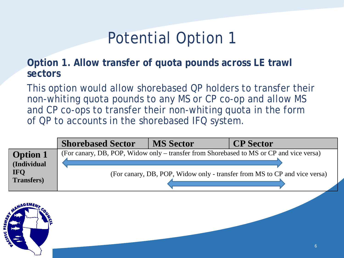#### Potential Option 1

**Option 1. Allow transfer of quota pounds across LE trawl sectors**

This option would allow shorebased QP holders to transfer their non-whiting quota pounds to any MS or CP co-op and allow MS and CP co-ops to transfer their non-whiting quota in the form of QP to accounts in the shorebased IFQ system.

|                                | <b>Shorebased Sector</b>                                                                | <b>MS Sector</b> | <b>CP</b> Sector |  |
|--------------------------------|-----------------------------------------------------------------------------------------|------------------|------------------|--|
| <b>Option 1</b><br>(Individual | (For canary, DB, POP, Widow only – transfer from Shorebased to MS or CP and vice versa) |                  |                  |  |
| IFQ<br>Transfers)              | (For canary, DB, POP, Widow only - transfer from MS to CP and vice versa)               |                  |                  |  |

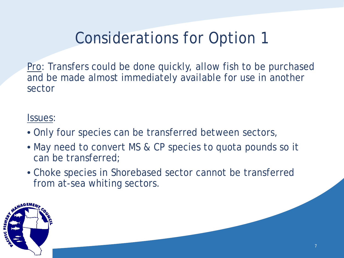### Considerations for Option 1

Pro: Transfers could be done quickly, allow fish to be purchased and be made almost immediately available for use in another sector

#### Issues:

- Only four species can be transferred between sectors,
- May need to convert MS & CP species to quota pounds so it can be transferred;
- Choke species in Shorebased sector cannot be transferred from at-sea whiting sectors.

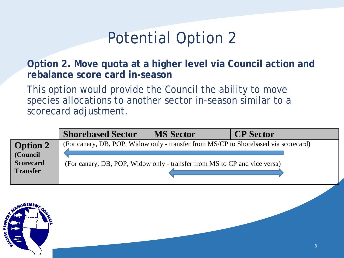#### Potential Option 2

**Option 2. Move quota at a higher level via Council action and rebalance score card in-season** 

This option would provide the Council the ability to move species allocations to another sector in-season similar to a scorecard adjustment.

|                                                                    | <b>Shorebased Sector</b>                                                                                                                                         | <b>MS Sector</b> | <b>CP</b> Sector |
|--------------------------------------------------------------------|------------------------------------------------------------------------------------------------------------------------------------------------------------------|------------------|------------------|
| <b>Option 2</b><br>(Council<br><b>Scorecard</b><br><b>Transfer</b> | (For canary, DB, POP, Widow only - transfer from MS/CP to Shorebased via scorecard)<br>(For canary, DB, POP, Widow only - transfer from MS to CP and vice versa) |                  |                  |

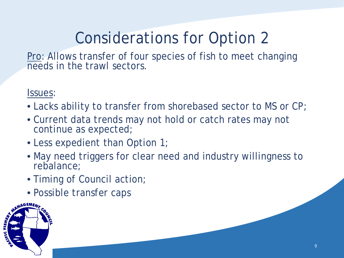# Considerations for Option 2

Pro: Allows transfer of four species of fish to meet changing needs in the trawl sectors.

Issues:

- Lacks ability to transfer from shorebased sector to MS or CP;
- Current data trends may not hold or catch rates may not continue as expected;
- Less expedient than Option 1;
- May need triggers for clear need and industry willingness to rebalance;
- Timing of Council action;
- Possible transfer caps